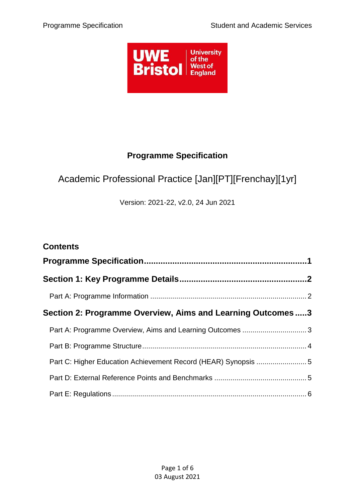

## **Programme Specification**

# <span id="page-0-0"></span>Academic Professional Practice [Jan][PT][Frenchay][1yr]

Version: 2021-22, v2.0, 24 Jun 2021

| <b>Contents</b>                                                |  |
|----------------------------------------------------------------|--|
|                                                                |  |
|                                                                |  |
|                                                                |  |
| Section 2: Programme Overview, Aims and Learning Outcomes3     |  |
| Part A: Programme Overview, Aims and Learning Outcomes  3      |  |
|                                                                |  |
| Part C: Higher Education Achievement Record (HEAR) Synopsis  5 |  |
|                                                                |  |
|                                                                |  |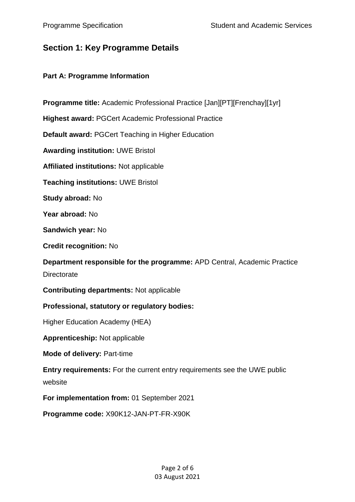### <span id="page-1-0"></span>**Section 1: Key Programme Details**

#### <span id="page-1-1"></span>**Part A: Programme Information**

**Programme title:** Academic Professional Practice [Jan][PT][Frenchay][1yr]

**Highest award:** PGCert Academic Professional Practice

**Default award:** PGCert Teaching in Higher Education

**Awarding institution:** UWE Bristol

**Affiliated institutions:** Not applicable

**Teaching institutions:** UWE Bristol

**Study abroad:** No

**Year abroad:** No

**Sandwich year:** No

**Credit recognition:** No

**Department responsible for the programme:** APD Central, Academic Practice **Directorate** 

**Contributing departments:** Not applicable

#### **Professional, statutory or regulatory bodies:**

Higher Education Academy (HEA)

**Apprenticeship:** Not applicable

**Mode of delivery:** Part-time

**Entry requirements:** For the current entry requirements see the UWE public website

**For implementation from:** 01 September 2021

**Programme code:** X90K12-JAN-PT-FR-X90K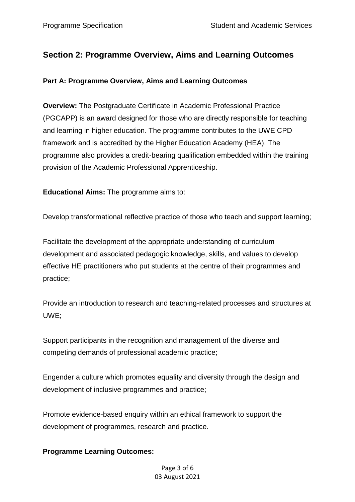## <span id="page-2-0"></span>**Section 2: Programme Overview, Aims and Learning Outcomes**

#### <span id="page-2-1"></span>**Part A: Programme Overview, Aims and Learning Outcomes**

**Overview:** The Postgraduate Certificate in Academic Professional Practice (PGCAPP) is an award designed for those who are directly responsible for teaching and learning in higher education. The programme contributes to the UWE CPD framework and is accredited by the Higher Education Academy (HEA). The programme also provides a credit-bearing qualification embedded within the training provision of the Academic Professional Apprenticeship.

**Educational Aims:** The programme aims to:

Develop transformational reflective practice of those who teach and support learning;

Facilitate the development of the appropriate understanding of curriculum development and associated pedagogic knowledge, skills, and values to develop effective HE practitioners who put students at the centre of their programmes and practice;

Provide an introduction to research and teaching-related processes and structures at UWE;

Support participants in the recognition and management of the diverse and competing demands of professional academic practice;

Engender a culture which promotes equality and diversity through the design and development of inclusive programmes and practice;

Promote evidence-based enquiry within an ethical framework to support the development of programmes, research and practice.

#### **Programme Learning Outcomes:**

Page 3 of 6 03 August 2021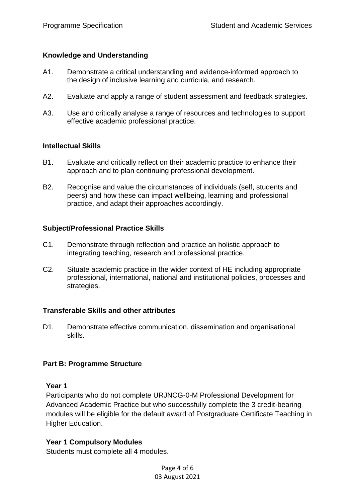#### **Knowledge and Understanding**

- A1. Demonstrate a critical understanding and evidence-informed approach to the design of inclusive learning and curricula, and research.
- A2. Evaluate and apply a range of student assessment and feedback strategies.
- A3. Use and critically analyse a range of resources and technologies to support effective academic professional practice.

#### **Intellectual Skills**

- B1. Evaluate and critically reflect on their academic practice to enhance their approach and to plan continuing professional development.
- B2. Recognise and value the circumstances of individuals (self, students and peers) and how these can impact wellbeing, learning and professional practice, and adapt their approaches accordingly.

#### **Subject/Professional Practice Skills**

- C1. Demonstrate through reflection and practice an holistic approach to integrating teaching, research and professional practice.
- C2. Situate academic practice in the wider context of HE including appropriate professional, international, national and institutional policies, processes and strategies.

#### **Transferable Skills and other attributes**

D1. Demonstrate effective communication, dissemination and organisational skills.

#### <span id="page-3-0"></span>**Part B: Programme Structure**

#### **Year 1**

Participants who do not complete URJNCG-0-M Professional Development for Advanced Academic Practice but who successfully complete the 3 credit-bearing modules will be eligible for the default award of Postgraduate Certificate Teaching in Higher Education.

#### **Year 1 Compulsory Modules**

Students must complete all 4 modules.

Page 4 of 6 03 August 2021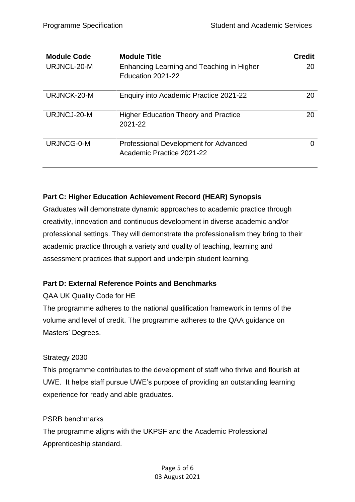| <b>Module Code</b> | <b>Module Title</b>                                                       | <b>Credit</b> |
|--------------------|---------------------------------------------------------------------------|---------------|
| URJNCL-20-M        | Enhancing Learning and Teaching in Higher                                 | 20            |
|                    | Education 2021-22                                                         |               |
| URJNCK-20-M        | Enquiry into Academic Practice 2021-22                                    | 20            |
| URJNCJ-20-M        | <b>Higher Education Theory and Practice</b><br>2021-22                    | 20            |
| URJNCG-0-M         | <b>Professional Development for Advanced</b><br>Academic Practice 2021-22 |               |

#### <span id="page-4-0"></span>**Part C: Higher Education Achievement Record (HEAR) Synopsis**

Graduates will demonstrate dynamic approaches to academic practice through creativity, innovation and continuous development in diverse academic and/or professional settings. They will demonstrate the professionalism they bring to their academic practice through a variety and quality of teaching, learning and assessment practices that support and underpin student learning.

#### <span id="page-4-1"></span>**Part D: External Reference Points and Benchmarks**

QAA UK Quality Code for HE

The programme adheres to the national qualification framework in terms of the volume and level of credit. The programme adheres to the QAA guidance on Masters' Degrees.

#### Strategy 2030

This programme contributes to the development of staff who thrive and flourish at UWE. It helps staff pursue UWE's purpose of providing an outstanding learning experience for ready and able graduates.

#### PSRB benchmarks

The programme aligns with the UKPSF and the Academic Professional Apprenticeship standard.

> Page 5 of 6 03 August 2021